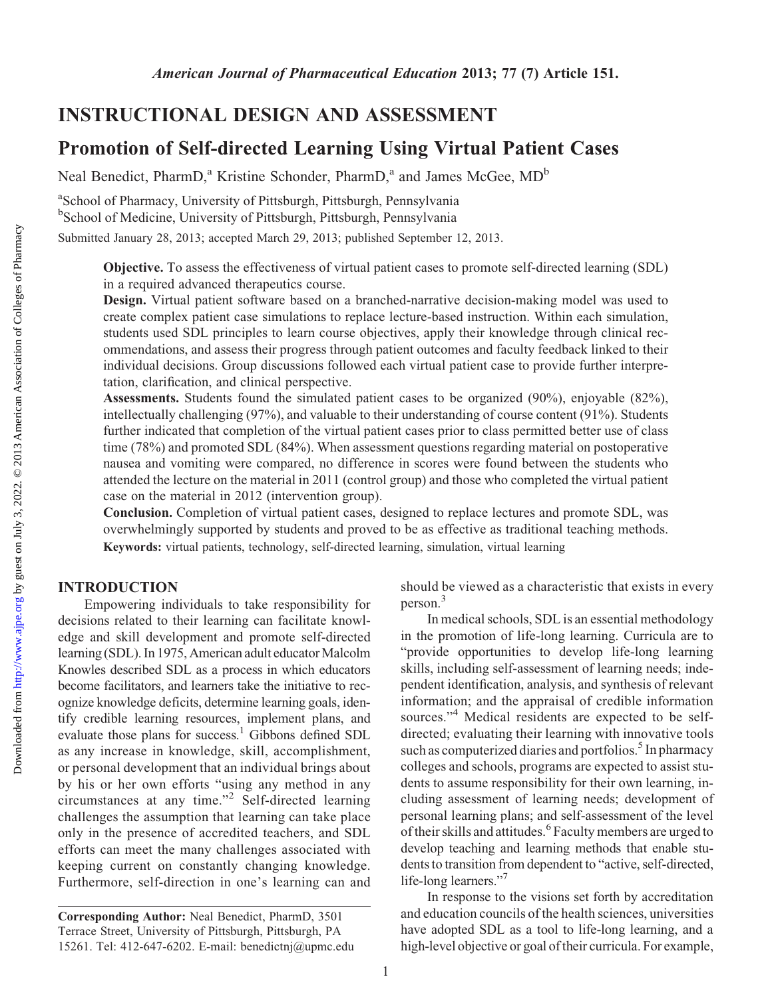# INSTRUCTIONAL DESIGN AND ASSESSMENT

# Promotion of Self-directed Learning Using Virtual Patient Cases

Neal Benedict, PharmD,<sup>a</sup> Kristine Schonder, PharmD,<sup>a</sup> and James McGee, MD<sup>b</sup>

a School of Pharmacy, University of Pittsburgh, Pittsburgh, Pennsylvania <sup>b</sup>School of Medicine, University of Pittsburgh, Pittsburgh, Pennsylvania

Submitted January 28, 2013; accepted March 29, 2013; published September 12, 2013.

Objective. To assess the effectiveness of virtual patient cases to promote self-directed learning (SDL) in a required advanced therapeutics course.

Design. Virtual patient software based on a branched-narrative decision-making model was used to create complex patient case simulations to replace lecture-based instruction. Within each simulation, students used SDL principles to learn course objectives, apply their knowledge through clinical recommendations, and assess their progress through patient outcomes and faculty feedback linked to their individual decisions. Group discussions followed each virtual patient case to provide further interpretation, clarification, and clinical perspective.

Assessments. Students found the simulated patient cases to be organized (90%), enjoyable (82%), intellectually challenging (97%), and valuable to their understanding of course content (91%). Students further indicated that completion of the virtual patient cases prior to class permitted better use of class time (78%) and promoted SDL (84%). When assessment questions regarding material on postoperative nausea and vomiting were compared, no difference in scores were found between the students who attended the lecture on the material in 2011 (control group) and those who completed the virtual patient case on the material in 2012 (intervention group).

Conclusion. Completion of virtual patient cases, designed to replace lectures and promote SDL, was overwhelmingly supported by students and proved to be as effective as traditional teaching methods. Keywords: virtual patients, technology, self-directed learning, simulation, virtual learning

### INTRODUCTION

Empowering individuals to take responsibility for decisions related to their learning can facilitate knowledge and skill development and promote self-directed learning (SDL). In 1975, American adult educator Malcolm Knowles described SDL as a process in which educators become facilitators, and learners take the initiative to recognize knowledge deficits, determine learning goals, identify credible learning resources, implement plans, and evaluate those plans for success.<sup>1</sup> Gibbons defined SDL as any increase in knowledge, skill, accomplishment, or personal development that an individual brings about by his or her own efforts "using any method in any circumstances at any time."<sup>2</sup> Self-directed learning challenges the assumption that learning can take place only in the presence of accredited teachers, and SDL efforts can meet the many challenges associated with keeping current on constantly changing knowledge. Furthermore, self-direction in one's learning can and should be viewed as a characteristic that exists in every person.3

In medical schools, SDL is an essential methodology in the promotion of life-long learning. Curricula are to "provide opportunities to develop life-long learning skills, including self-assessment of learning needs; independent identification, analysis, and synthesis of relevant information; and the appraisal of credible information sources."<sup>4</sup> Medical residents are expected to be selfdirected; evaluating their learning with innovative tools such as computerized diaries and portfolios.<sup>5</sup> In pharmacy colleges and schools, programs are expected to assist students to assume responsibility for their own learning, including assessment of learning needs; development of personal learning plans; and self-assessment of the level of their skills and attitudes.<sup>6</sup> Faculty members are urged to develop teaching and learning methods that enable students to transition from dependent to "active, self-directed, life-long learners."<sup>7</sup>

In response to the visions set forth by accreditation and education councils of the health sciences, universities have adopted SDL as a tool to life-long learning, and a high-level objective or goal of their curricula. For example,

Corresponding Author: Neal Benedict, PharmD, 3501 Terrace Street, University of Pittsburgh, Pittsburgh, PA 15261. Tel: 412-647-6202. E-mail: benedictnj@upmc.edu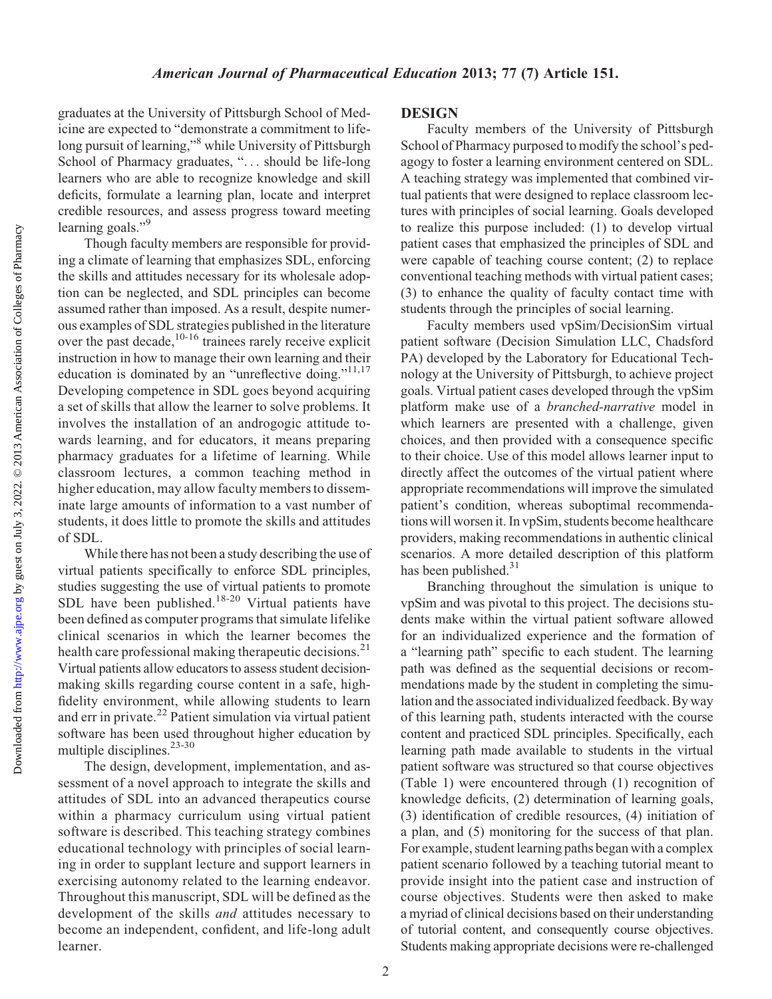graduates at the University of Pittsburgh School of Medicine are expected to "demonstrate a commitment to lifelong pursuit of learning,"<sup>8</sup> while University of Pittsburgh School of Pharmacy graduates, "... should be life-long learners who are able to recognize knowledge and skill deficits, formulate a learning plan, locate and interpret credible resources, and assess progress toward meeting learning goals."<sup>9</sup>

Though faculty members are responsible for providing a climate of learning that emphasizes SDL, enforcing the skills and attitudes necessary for its wholesale adoption can be neglected, and SDL principles can become assumed rather than imposed. As a result, despite numerous examples of SDL strategies published in the literature over the past decade,<sup>10-16</sup> trainees rarely receive explicit instruction in how to manage their own learning and their education is dominated by an "unreflective doing." $11,17$ Developing competence in SDL goes beyond acquiring a set of skills that allow the learner to solve problems. It involves the installation of an androgogic attitude towards learning, and for educators, it means preparing pharmacy graduates for a lifetime of learning. While classroom lectures, a common teaching method in higher education, may allow faculty members to disseminate large amounts of information to a vast number of students, it does little to promote the skills and attitudes of SDL.

While there has not been a study describing the use of virtual patients specifically to enforce SDL principles, studies suggesting the use of virtual patients to promote SDL have been published.<sup>18-20</sup> Virtual patients have been defined as computer programs that simulate lifelike clinical scenarios in which the learner becomes the health care professional making therapeutic decisions.<sup>21</sup> Virtual patients allow educators to assess student decisionmaking skills regarding course content in a safe, highfidelity environment, while allowing students to learn and err in private.<sup>22</sup> Patient simulation via virtual patient software has been used throughout higher education by multiple disciplines. $23-30$ 

The design, development, implementation, and assessment of a novel approach to integrate the skills and attitudes of SDL into an advanced therapeutics course within a pharmacy curriculum using virtual patient software is described. This teaching strategy combines educational technology with principles of social learning in order to supplant lecture and support learners in exercising autonomy related to the learning endeavor. Throughout this manuscript, SDL will be defined as the development of the skills and attitudes necessary to become an independent, confident, and life-long adult learner.

### DESIGN

Faculty members of the University of Pittsburgh School of Pharmacy purposed to modify the school's pedagogy to foster a learning environment centered on SDL. A teaching strategy was implemented that combined virtual patients that were designed to replace classroom lectures with principles of social learning. Goals developed to realize this purpose included: (1) to develop virtual patient cases that emphasized the principles of SDL and were capable of teaching course content; (2) to replace conventional teaching methods with virtual patient cases; (3) to enhance the quality of faculty contact time with students through the principles of social learning.

Faculty members used vpSim/DecisionSim virtual patient software (Decision Simulation LLC, Chadsford PA) developed by the Laboratory for Educational Technology at the University of Pittsburgh, to achieve project goals. Virtual patient cases developed through the vpSim platform make use of a branched-narrative model in which learners are presented with a challenge, given choices, and then provided with a consequence specific to their choice. Use of this model allows learner input to directly affect the outcomes of the virtual patient where appropriate recommendations will improve the simulated patient's condition, whereas suboptimal recommendations will worsen it. In vpSim, students become healthcare providers, making recommendations in authentic clinical scenarios. A more detailed description of this platform has been published. $31$ 

Branching throughout the simulation is unique to vpSim and was pivotal to this project. The decisions students make within the virtual patient software allowed for an individualized experience and the formation of a "learning path" specific to each student. The learning path was defined as the sequential decisions or recommendations made by the student in completing the simulation and the associated individualized feedback. By way of this learning path, students interacted with the course content and practiced SDL principles. Specifically, each learning path made available to students in the virtual patient software was structured so that course objectives (Table 1) were encountered through (1) recognition of knowledge deficits, (2) determination of learning goals, (3) identification of credible resources, (4) initiation of a plan, and (5) monitoring for the success of that plan. For example, student learning paths began with a complex patient scenario followed by a teaching tutorial meant to provide insight into the patient case and instruction of course objectives. Students were then asked to make a myriad of clinical decisions based on their understanding of tutorial content, and consequently course objectives. Students making appropriate decisions were re-challenged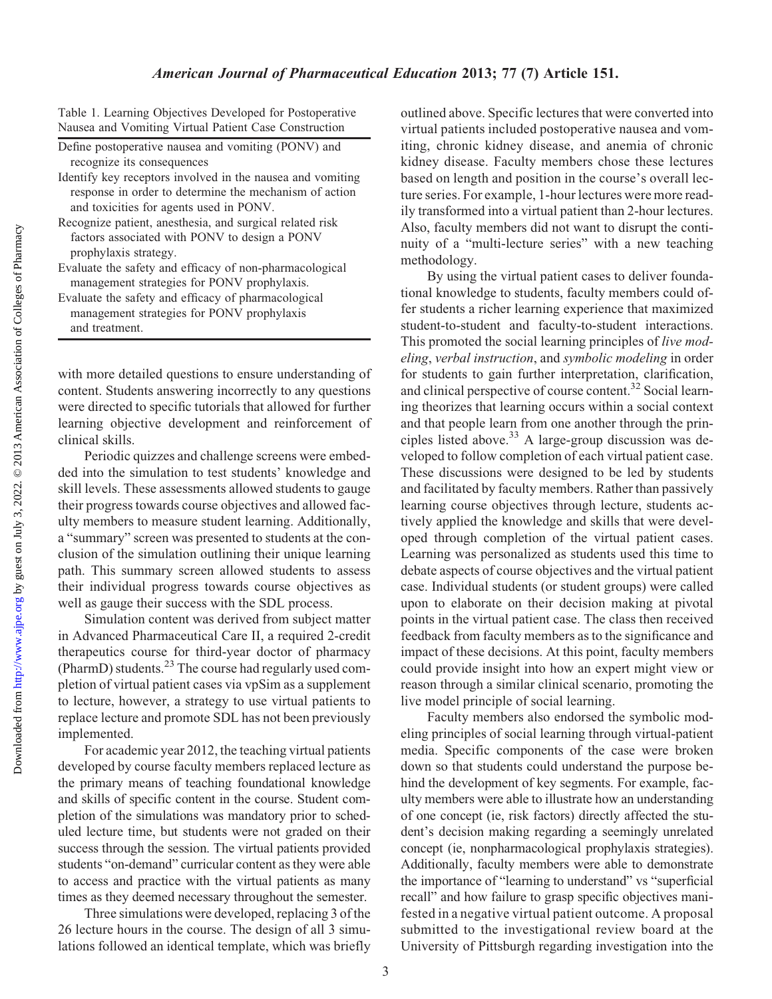Table 1. Learning Objectives Developed for Postoperative Nausea and Vomiting Virtual Patient Case Construction

Define postoperative nausea and vomiting (PONV) and recognize its consequences

- Identify key receptors involved in the nausea and vomiting response in order to determine the mechanism of action and toxicities for agents used in PONV.
- Recognize patient, anesthesia, and surgical related risk factors associated with PONV to design a PONV prophylaxis strategy.
- Evaluate the safety and efficacy of non-pharmacological management strategies for PONV prophylaxis.

Evaluate the safety and efficacy of pharmacological management strategies for PONV prophylaxis and treatment.

with more detailed questions to ensure understanding of content. Students answering incorrectly to any questions were directed to specific tutorials that allowed for further learning objective development and reinforcement of clinical skills.

Periodic quizzes and challenge screens were embedded into the simulation to test students' knowledge and skill levels. These assessments allowed students to gauge their progress towards course objectives and allowed faculty members to measure student learning. Additionally, a "summary" screen was presented to students at the conclusion of the simulation outlining their unique learning path. This summary screen allowed students to assess their individual progress towards course objectives as well as gauge their success with the SDL process.

Simulation content was derived from subject matter in Advanced Pharmaceutical Care II, a required 2-credit therapeutics course for third-year doctor of pharmacy (PharmD) students. $^{23}$  The course had regularly used completion of virtual patient cases via vpSim as a supplement to lecture, however, a strategy to use virtual patients to replace lecture and promote SDL has not been previously implemented.

For academic year 2012, the teaching virtual patients developed by course faculty members replaced lecture as the primary means of teaching foundational knowledge and skills of specific content in the course. Student completion of the simulations was mandatory prior to scheduled lecture time, but students were not graded on their success through the session. The virtual patients provided students "on-demand" curricular content as they were able to access and practice with the virtual patients as many times as they deemed necessary throughout the semester.

Three simulations were developed, replacing 3 of the 26 lecture hours in the course. The design of all 3 simulations followed an identical template, which was briefly

outlined above. Specific lectures that were converted into virtual patients included postoperative nausea and vomiting, chronic kidney disease, and anemia of chronic kidney disease. Faculty members chose these lectures based on length and position in the course's overall lecture series. For example, 1-hour lectures were more readily transformed into a virtual patient than 2-hour lectures. Also, faculty members did not want to disrupt the continuity of a "multi-lecture series" with a new teaching methodology.

By using the virtual patient cases to deliver foundational knowledge to students, faculty members could offer students a richer learning experience that maximized student-to-student and faculty-to-student interactions. This promoted the social learning principles of *live mod*eling, verbal instruction, and symbolic modeling in order for students to gain further interpretation, clarification, and clinical perspective of course content.<sup>32</sup> Social learning theorizes that learning occurs within a social context and that people learn from one another through the principles listed above.33 A large-group discussion was developed to follow completion of each virtual patient case. These discussions were designed to be led by students and facilitated by faculty members. Rather than passively learning course objectives through lecture, students actively applied the knowledge and skills that were developed through completion of the virtual patient cases. Learning was personalized as students used this time to debate aspects of course objectives and the virtual patient case. Individual students (or student groups) were called upon to elaborate on their decision making at pivotal points in the virtual patient case. The class then received feedback from faculty members as to the significance and impact of these decisions. At this point, faculty members could provide insight into how an expert might view or reason through a similar clinical scenario, promoting the live model principle of social learning.

Faculty members also endorsed the symbolic modeling principles of social learning through virtual-patient media. Specific components of the case were broken down so that students could understand the purpose behind the development of key segments. For example, faculty members were able to illustrate how an understanding of one concept (ie, risk factors) directly affected the student's decision making regarding a seemingly unrelated concept (ie, nonpharmacological prophylaxis strategies). Additionally, faculty members were able to demonstrate the importance of "learning to understand" vs "superficial recall" and how failure to grasp specific objectives manifested in a negative virtual patient outcome. A proposal submitted to the investigational review board at the University of Pittsburgh regarding investigation into the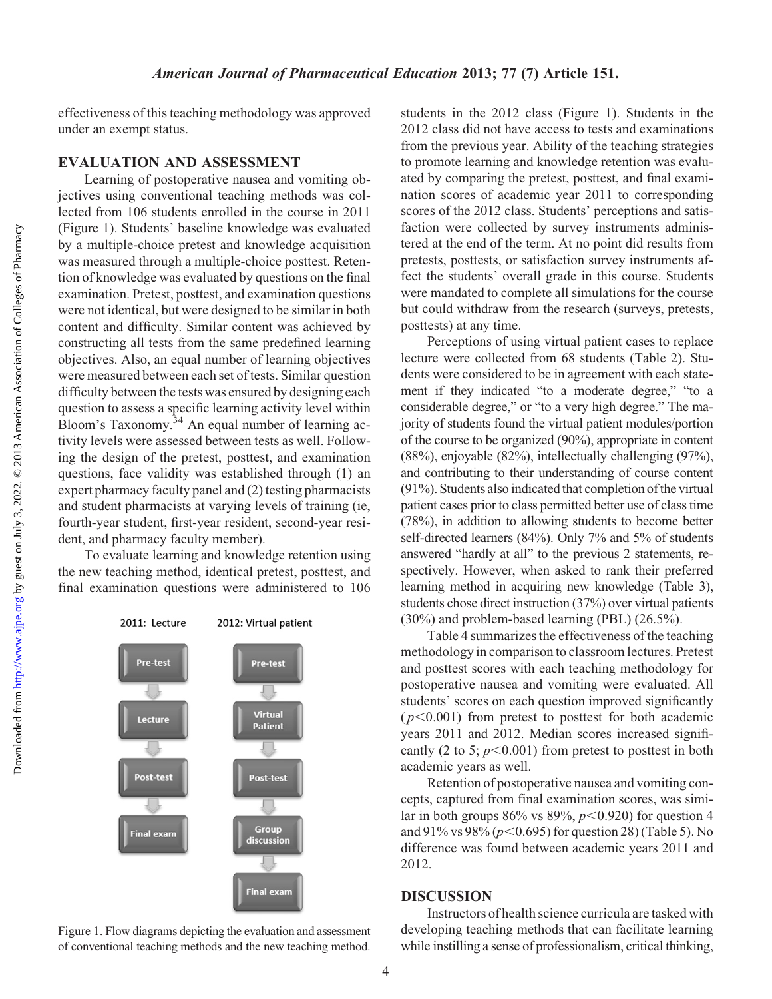effectiveness of this teaching methodology was approved under an exempt status.

### EVALUATION AND ASSESSMENT

Learning of postoperative nausea and vomiting objectives using conventional teaching methods was collected from 106 students enrolled in the course in 2011 (Figure 1). Students' baseline knowledge was evaluated by a multiple-choice pretest and knowledge acquisition was measured through a multiple-choice posttest. Retention of knowledge was evaluated by questions on the final examination. Pretest, posttest, and examination questions were not identical, but were designed to be similar in both content and difficulty. Similar content was achieved by constructing all tests from the same predefined learning objectives. Also, an equal number of learning objectives were measured between each set of tests. Similar question difficulty between the tests was ensured by designing each question to assess a specific learning activity level within Bloom's Taxonomy.<sup>34</sup> An equal number of learning activity levels were assessed between tests as well. Following the design of the pretest, posttest, and examination questions, face validity was established through (1) an expert pharmacy faculty panel and (2) testing pharmacists and student pharmacists at varying levels of training (ie, fourth-year student, first-year resident, second-year resident, and pharmacy faculty member).

To evaluate learning and knowledge retention using the new teaching method, identical pretest, posttest, and final examination questions were administered to 106



Figure 1. Flow diagrams depicting the evaluation and assessment of conventional teaching methods and the new teaching method.

students in the 2012 class (Figure 1). Students in the 2012 class did not have access to tests and examinations from the previous year. Ability of the teaching strategies to promote learning and knowledge retention was evaluated by comparing the pretest, posttest, and final examination scores of academic year 2011 to corresponding scores of the 2012 class. Students' perceptions and satisfaction were collected by survey instruments administered at the end of the term. At no point did results from pretests, posttests, or satisfaction survey instruments affect the students' overall grade in this course. Students were mandated to complete all simulations for the course but could withdraw from the research (surveys, pretests, posttests) at any time.

Perceptions of using virtual patient cases to replace lecture were collected from 68 students (Table 2). Students were considered to be in agreement with each statement if they indicated "to a moderate degree," "to a considerable degree," or "to a very high degree." The majority of students found the virtual patient modules/portion of the course to be organized (90%), appropriate in content (88%), enjoyable (82%), intellectually challenging (97%), and contributing to their understanding of course content (91%). Students also indicated that completion of the virtual patient cases prior to class permitted better use of class time (78%), in addition to allowing students to become better self-directed learners (84%). Only 7% and 5% of students answered "hardly at all" to the previous 2 statements, respectively. However, when asked to rank their preferred learning method in acquiring new knowledge (Table 3), students chose direct instruction (37%) over virtual patients (30%) and problem-based learning (PBL) (26.5%).

Table 4 summarizes the effectiveness of the teaching methodology in comparison to classroom lectures. Pretest and posttest scores with each teaching methodology for postoperative nausea and vomiting were evaluated. All students' scores on each question improved significantly  $(p<0.001)$  from pretest to posttest for both academic years 2011 and 2012. Median scores increased significantly (2 to 5;  $p<0.001$ ) from pretest to posttest in both academic years as well.

Retention of postoperative nausea and vomiting concepts, captured from final examination scores, was similar in both groups 86% vs 89%,  $p<0.920$ ) for question 4 and 91% vs 98% ( $p$ <0.695) for question 28) (Table 5). No difference was found between academic years 2011 and 2012.

### **DISCUSSION**

Instructors of health science curricula are tasked with developing teaching methods that can facilitate learning while instilling a sense of professionalism, critical thinking,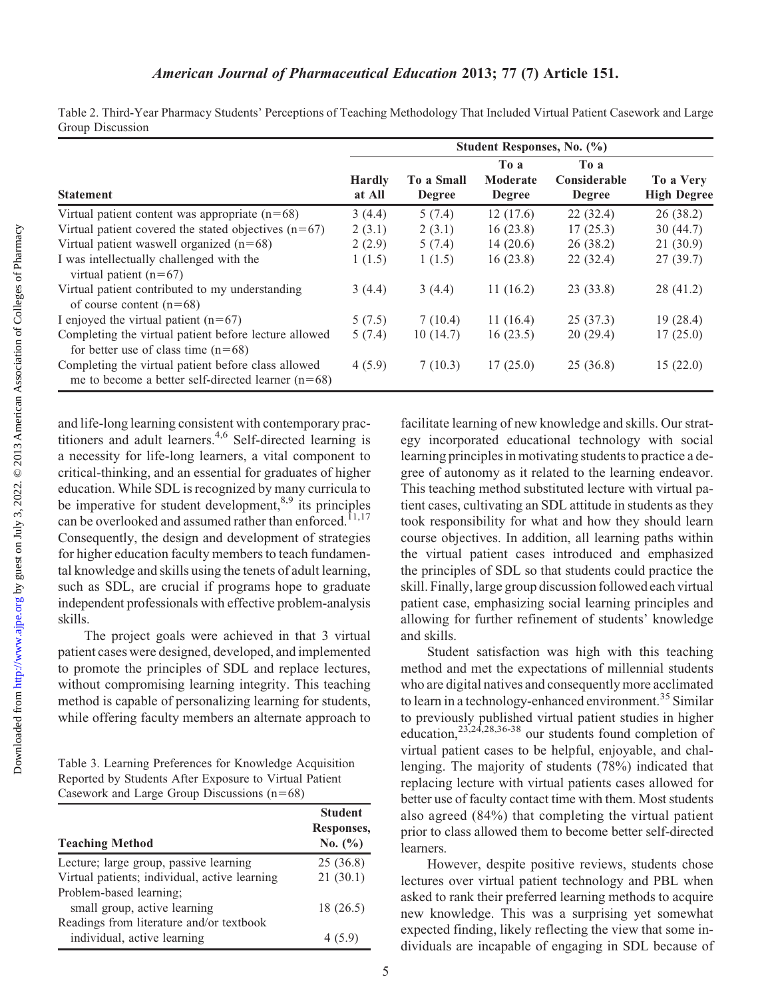Table 2. Third-Year Pharmacy Students' Perceptions of Teaching Methodology That Included Virtual Patient Casework and Large Group Discussion

|                                                                                                             | Student Responses, No. (%) |                             |                                   |                                       |                                 |
|-------------------------------------------------------------------------------------------------------------|----------------------------|-----------------------------|-----------------------------------|---------------------------------------|---------------------------------|
| <b>Statement</b>                                                                                            | <b>Hardly</b><br>at All    | To a Small<br><b>Degree</b> | To a<br>Moderate<br><b>Degree</b> | To a<br>Considerable<br><b>Degree</b> | To a Very<br><b>High Degree</b> |
| Virtual patient content was appropriate $(n=68)$                                                            | 3(4.4)                     | 5(7.4)                      | 12(17.6)                          | 22(32.4)                              | 26(38.2)                        |
| Virtual patient covered the stated objectives $(n=67)$                                                      | 2(3.1)                     | 2(3.1)                      | 16(23.8)                          | 17(25.3)                              | 30(44.7)                        |
| Virtual patient was well organized $(n=68)$                                                                 | 2(2.9)                     | 5(7.4)                      | 14(20.6)                          | 26 (38.2)                             | 21(30.9)                        |
| I was intellectually challenged with the<br>virtual patient $(n=67)$                                        | 1(1.5)                     | 1(1.5)                      | 16(23.8)                          | 22(32.4)                              | 27(39.7)                        |
| Virtual patient contributed to my understanding<br>of course content $(n=68)$                               | 3(4.4)                     | 3(4.4)                      | 11(16.2)                          | 23(33.8)                              | 28 (41.2)                       |
| I enjoyed the virtual patient $(n=67)$                                                                      | 5(7.5)                     | 7(10.4)                     | 11(16.4)                          | 25(37.3)                              | 19(28.4)                        |
| Completing the virtual patient before lecture allowed<br>for better use of class time $(n=68)$              | 5(7.4)                     | 10(14.7)                    | 16(23.5)                          | 20(29.4)                              | 17(25.0)                        |
| Completing the virtual patient before class allowed<br>me to become a better self-directed learner $(n=68)$ | 4(5.9)                     | 7(10.3)                     | 17(25.0)                          | 25(36.8)                              | 15(22.0)                        |

and life-long learning consistent with contemporary practitioners and adult learners.4,6 Self-directed learning is a necessity for life-long learners, a vital component to critical-thinking, and an essential for graduates of higher education. While SDL is recognized by many curricula to be imperative for student development, $8,9$  its principles can be overlooked and assumed rather than enforced.<sup>11,17</sup> Consequently, the design and development of strategies for higher education faculty members to teach fundamental knowledge and skills using the tenets of adult learning, such as SDL, are crucial if programs hope to graduate independent professionals with effective problem-analysis skills.

The project goals were achieved in that 3 virtual patient cases were designed, developed, and implemented to promote the principles of SDL and replace lectures, without compromising learning integrity. This teaching method is capable of personalizing learning for students, while offering faculty members an alternate approach to

Table 3. Learning Preferences for Knowledge Acquisition Reported by Students After Exposure to Virtual Patient Casework and Large Group Discussions  $(n=68)$ 

| <b>Teaching Method</b>                        | <b>Student</b><br>Responses,<br>No. $(\% )$ |
|-----------------------------------------------|---------------------------------------------|
| Lecture; large group, passive learning        | 25(36.8)                                    |
| Virtual patients; individual, active learning | 21(30.1)                                    |
| Problem-based learning;                       |                                             |
| small group, active learning                  | 18(26.5)                                    |
| Readings from literature and/or textbook      |                                             |
| individual, active learning                   | 4 (5.9)                                     |

facilitate learning of new knowledge and skills. Our strategy incorporated educational technology with social learning principles in motivating students to practice a degree of autonomy as it related to the learning endeavor. This teaching method substituted lecture with virtual patient cases, cultivating an SDL attitude in students as they took responsibility for what and how they should learn course objectives. In addition, all learning paths within the virtual patient cases introduced and emphasized the principles of SDL so that students could practice the skill. Finally, large group discussion followed each virtual patient case, emphasizing social learning principles and allowing for further refinement of students' knowledge and skills.

Student satisfaction was high with this teaching method and met the expectations of millennial students who are digital natives and consequently more acclimated to learn in a technology-enhanced environment.<sup>35</sup> Similar to previously published virtual patient studies in higher education, $2^{3,24,28,36-38}$  our students found completion of virtual patient cases to be helpful, enjoyable, and challenging. The majority of students (78%) indicated that replacing lecture with virtual patients cases allowed for better use of faculty contact time with them. Most students also agreed (84%) that completing the virtual patient prior to class allowed them to become better self-directed learners.

However, despite positive reviews, students chose lectures over virtual patient technology and PBL when asked to rank their preferred learning methods to acquire new knowledge. This was a surprising yet somewhat expected finding, likely reflecting the view that some individuals are incapable of engaging in SDL because of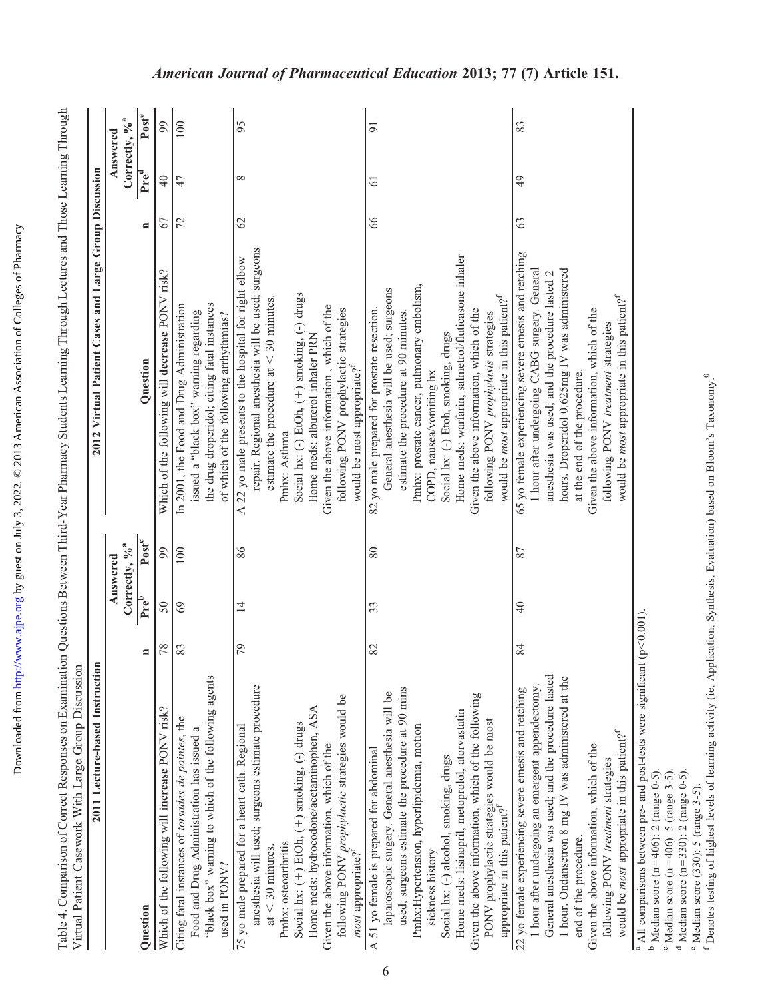| j            |  |
|--------------|--|
| j            |  |
| j            |  |
|              |  |
|              |  |
|              |  |
|              |  |
|              |  |
|              |  |
|              |  |
|              |  |
|              |  |
|              |  |
| ו<br>גו      |  |
|              |  |
| ś            |  |
| į            |  |
|              |  |
|              |  |
|              |  |
|              |  |
|              |  |
|              |  |
|              |  |
| $\mathbf{r}$ |  |
|              |  |
| ١            |  |
|              |  |
| ļ<br>Ι       |  |
|              |  |
|              |  |
|              |  |
|              |  |
|              |  |

| Table 4. Comparison of Correct Responses on Examination Questions Between Third-Year Pharmacy Students Learning Through Lectures and Those Learning Through<br>Virtual Patient Casework With Large Group Discussion |                                    |                                                       |                                    |  |
|---------------------------------------------------------------------------------------------------------------------------------------------------------------------------------------------------------------------|------------------------------------|-------------------------------------------------------|------------------------------------|--|
| 2011 Lecture-based Instruction                                                                                                                                                                                      |                                    | 2012 Virtual Patient Cases and Large Group Discussion |                                    |  |
|                                                                                                                                                                                                                     | Answered                           |                                                       | Answered                           |  |
|                                                                                                                                                                                                                     | Correctly, % <sup>3</sup>          |                                                       | Correctly, % <sup>3</sup>          |  |
| Juestion                                                                                                                                                                                                            | Pre <sup>b</sup> Post <sup>c</sup> | Question                                              | Pre <sup>d</sup> Post <sup>e</sup> |  |

#### Question  $P_{\rm{P}}$  Post $^{\rm{e}}$  Post $^{\rm{e}}$  Post $^{\rm{e}}$ 99 100 95 83  $\overline{5}$ Which of the following will increase PONV risk? 78 50 99 Which of the following will decrease PONV risk? 67 40 99 72 47 100 62 8 95 63 49 83 66 61 91  $\overline{4}$  $47$  $\infty$  $\overline{6}$  $\overline{6}$ 8 67 72  $\mathcal{O}$ G3 repair. Regional anesthesia will be used; surgeons repair. Regional anesthesia will be used; surgeons 65 yo female experiencing severe emesis and retching 84 40 87 65 yo female experiencing severe emesis and retching Home meds: warfarin, salmetrol/fluticasone inhaler A 22 yo male presents to the hospital for right elbow Home meds: lisinopril, metoprolol, atorvastatin Home meds: warfarin, salmetrol/fluticasone inhaler 79  $14$  86 A 22 yo male presents to the hospital for right elbow hour after undergoing CABG surgery. General hours. Droperidol 0.625mg IV was administered 1 hour after undergoing CABG surgery. General hours. Droperidol 0.625mg IV was administered anesthesia was used; and the procedure lasted 2 Which of the following will decrease PONV risk? anesthesia was used; and the procedure lasted 2 Pmhx: prostate cancer, pulmonary embolism, Pmhx: prostate cancer, pulmonary embolism, General anesthesia will be used; surgeons General anesthesia will be used; surgeons Social hx: (-) EtOh, (+) smoking, (-) drugs 1) smoking, (-) drugs would be *most* appropriate in this patient?<sup>f</sup> would be *most* appropriate in this patient?<sup>f</sup> would be *most* appropriate in this patient?<sup>f</sup> would be *most* appropriate in this patient?<sup>f</sup> estimate the procedure at  $<$  30 minutes.  $<$  30 minutes. the drug droperidol; citing fatal instances In 2001, the Food and Drug Administration the drug droperidol; citing fatal instances 83 69 100 In 2001, the Food and Drug Administration Given the above information, which of the Given the above information , which of the 82 yo male prepared for prostate resection. following PONV prophylactic strategies Given the above information, which of the Given the above information, which of the issued a "black box" warning regarding 82 33 80 82 yo male prepared for prostate resection. following PONV prophylactic strategies estimate the procedure at 90 minutes. Given the above information, which of the following PONV prophylaxis strategies Given the above information, which of the issued a "black box" warning regarding of which of the following arrhythmias? estimate the procedure at 90 minutes of which of the following arrhythmias? following PONV prophylaxis strategies following PONV treatment strategies following PONV treatment strategies Home meds: albuterol inhaler PRN Social hx: (-) Etoh, smoking, drugs Home meds: hydrocodone/acetaminophen, ASA Home meds: albuterol inhaler PRN Social hx: (-) alcohol, smoking, drugs strates and strates are seen as the social haring strates are seen as the smoking, drugs would be most appropriate?<sup>f</sup> would be most appropriate?<sup>f</sup> COPD, nausea/vomiting hx at the end of the procedure. estimate the procedure at at the end of the procedure. COPD, nausea/vomiting hx  $+$ ) smoking, (-) drugs  $+$ ) smoking, (-)  $\frac{1}{2}$  drugs  $\frac{1}{2}$ Pmhx: Asthma Pmhx: osteoarthritis Pmhx: Asthma 99 86 80 100 87 50  $69\,$  $\overline{1}$ 33  $\overline{4}$ All comparisons between pre- and post-tests were significant ( $p < 0.001$ ). 78 79 83 82 84 <sup>a</sup> All comparisons between pre- and post-tests were significant (p "black box" warning to which of the following agents General anesthesia was used; and the procedure lasted General anesthesia was used; and the procedure lasted 1 hour. Ondansetron 8 mg IV was administered at the "black box" warning to which of the following agents 1 hour. Ondansetron 8 mg IV was administered at the anesthesia will used; surgeons estimate procedure 1 hour after undergoing an emergent appendectomy. anesthesia will used; surgeons estimate procedure used; surgeons estimate the procedure at 90 mins 22 yo female experiencing severe emesis and retching hour after undergoing an emergent appendectomy used; surgeons estimate the procedure at 90 mins 22 yo female experiencing severe emesis and retching aparoscopic surgery. General anesthesia will be laparoscopic surgery. General anesthesia will be Given the above information, which of the following following PONV prophylactic strategies would be Given the above information, which of the following following PONV prophylactic strategies would be Home meds: hydrocodone/acetaminophen, ASA Which of the following will increase PONV risk? Home meds: lisinopril, metoprolol, atorvastatin Citing fatal instances of torsades de pointes, the Citing fatal instances of torsades de pointes, the PONV prophylactic strategies would be most PONV prophylactic strategies would be most Social hx:  $(+)$  EtOh,  $(+)$  smoking,  $(-)$  drugs Pmhx:Hypertension, hyperlipidemia, motion 75 yo male prepared for a heart cath. Regional Food and Drug Administration has issued a 75 yo male prepared for a heart cath. Regional Pmhx:Hypertension, hyperlipidemia, motion Food and Drug Administration has issued a would be *most* appropriate in this patient?<sup>f</sup> would be *most* appropriate in this patient?<sup>f</sup> Given the above information, which of the Given the above information, which of the Given the above information, which of the A 51 yo female is prepared for abdominal Given the above information, which of the A 51 yo female is prepared for abdominal Social hx: (-) alcohol, smoking, drugs following PONV treatment strategies following PONV treatment strategies Median score ( $n=406$ ): 2 (range 0-5). 5406): 2 (range 0-5). appropriate in this patient?<sup>f</sup> appropriate in this patient?<sup>f</sup> end of the procedure. end of the procedure. Pmhx: osteoarthritis  $<$  30 minutes. most appropriate?<sup>f</sup> most appropriate?<sup>f</sup> sickness history sickness history used in PONV? used in PONV? b Median score (n Social hx: ( ,at ō

Median score  $(n=406)$ : 5 (range 3-5).

c

 Median score (n 5406): 5 (range 3-5).

<sup>d</sup> Median score ( $n=330$ ): 2 (range 0-5). Median score (n 5330): 2 (range 0-5).

<sup>e</sup> Median score (330): 5 (range 3-5). Median score (330): 5 (range 3-5).  $\overline{\phantom{a}}$ 

Denotes testing of highest levels of learning activity (ie, Application, Synthesis, Evaluation) based on Bloom's Taxonomy.<sup>0</sup> Denotes testing of highest levels of learning activity (ie, Application, Synthesis, Evaluation) based on Bloom's Taxonomy.0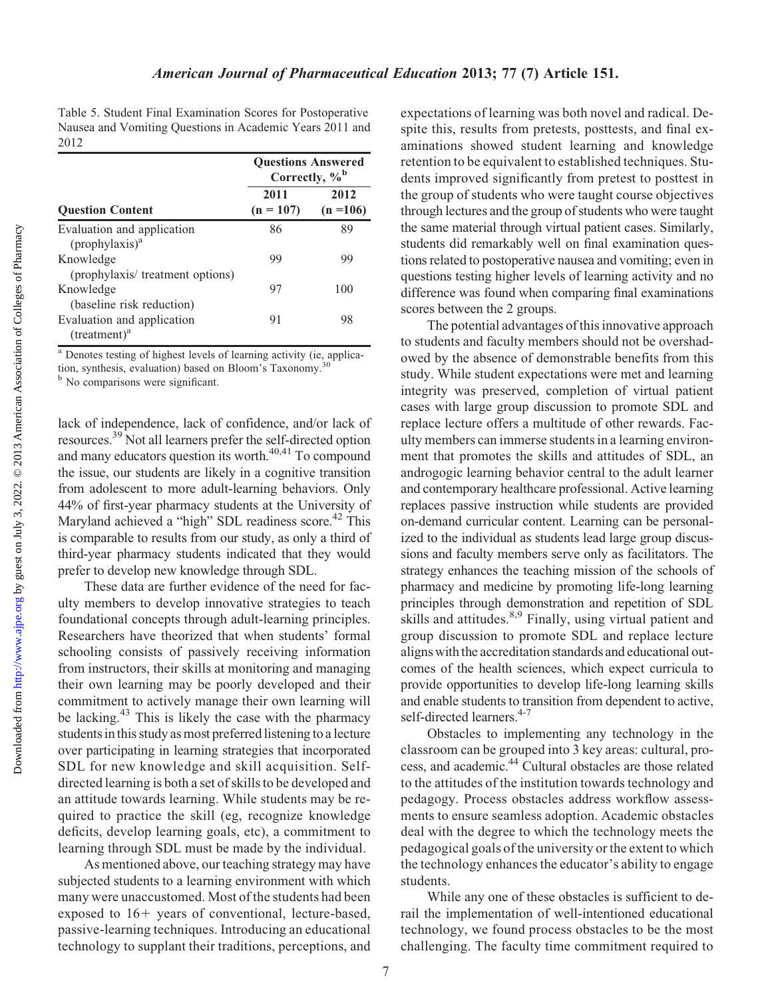Table 5. Student Final Examination Scores for Postoperative Nausea and Vomiting Questions in Academic Years 2011 and 2012

|                                                                | <b>Questions Answered</b><br>Correctly, $\%$ <sup>b</sup> |                     |  |
|----------------------------------------------------------------|-----------------------------------------------------------|---------------------|--|
| <b>Question Content</b>                                        | 2011<br>$(n = 107)$                                       | 2012<br>$(n = 106)$ |  |
| Evaluation and application<br>$($ prophylaxis $)$ <sup>a</sup> | 86                                                        | 89                  |  |
| Knowledge<br>(prophylaxis/ treatment options)                  | 99                                                        | 99                  |  |
| Knowledge<br>(baseline risk reduction)                         | 97                                                        | 100                 |  |
| Evaluation and application<br>$(treatment)^a$                  | 91                                                        | 98                  |  |

<sup>a</sup> Denotes testing of highest levels of learning activity (ie, application, synthesis, evaluation) based on Bloom's Taxonomy.30

<sup>b</sup> No comparisons were significant.

lack of independence, lack of confidence, and/or lack of resources.<sup>39</sup> Not all learners prefer the self-directed option and many educators question its worth.<sup>40,41</sup> To compound the issue, our students are likely in a cognitive transition from adolescent to more adult-learning behaviors. Only 44% of first-year pharmacy students at the University of Maryland achieved a "high" SDL readiness score.<sup>42</sup> This is comparable to results from our study, as only a third of third-year pharmacy students indicated that they would prefer to develop new knowledge through SDL.

These data are further evidence of the need for faculty members to develop innovative strategies to teach foundational concepts through adult-learning principles. Researchers have theorized that when students' formal schooling consists of passively receiving information from instructors, their skills at monitoring and managing their own learning may be poorly developed and their commitment to actively manage their own learning will be lacking.<sup>43</sup> This is likely the case with the pharmacy students in this study as most preferred listening to a lecture over participating in learning strategies that incorporated SDL for new knowledge and skill acquisition. Selfdirected learning is both a set of skills to be developed and an attitude towards learning. While students may be required to practice the skill (eg, recognize knowledge deficits, develop learning goals, etc), a commitment to learning through SDL must be made by the individual.

As mentioned above, our teaching strategy may have subjected students to a learning environment with which many were unaccustomed. Most of the students had been exposed to  $16+$  years of conventional, lecture-based, passive-learning techniques. Introducing an educational technology to supplant their traditions, perceptions, and expectations of learning was both novel and radical. Despite this, results from pretests, posttests, and final examinations showed student learning and knowledge retention to be equivalent to established techniques. Students improved significantly from pretest to posttest in the group of students who were taught course objectives through lectures and the group of students who were taught the same material through virtual patient cases. Similarly, students did remarkably well on final examination questions related to postoperative nausea and vomiting; even in questions testing higher levels of learning activity and no difference was found when comparing final examinations scores between the 2 groups.

The potential advantages of this innovative approach to students and faculty members should not be overshadowed by the absence of demonstrable benefits from this study. While student expectations were met and learning integrity was preserved, completion of virtual patient cases with large group discussion to promote SDL and replace lecture offers a multitude of other rewards. Faculty members can immerse students in a learning environment that promotes the skills and attitudes of SDL, an androgogic learning behavior central to the adult learner and contemporary healthcare professional. Active learning replaces passive instruction while students are provided on-demand curricular content. Learning can be personalized to the individual as students lead large group discussions and faculty members serve only as facilitators. The strategy enhances the teaching mission of the schools of pharmacy and medicine by promoting life-long learning principles through demonstration and repetition of SDL skills and attitudes.<sup>8,9</sup> Finally, using virtual patient and group discussion to promote SDL and replace lecture aligns with the accreditation standards and educational outcomes of the health sciences, which expect curricula to provide opportunities to develop life-long learning skills and enable students to transition from dependent to active, self-directed learners.<sup>4-7</sup>

Obstacles to implementing any technology in the classroom can be grouped into 3 key areas: cultural, process, and academic.44 Cultural obstacles are those related to the attitudes of the institution towards technology and pedagogy. Process obstacles address workflow assessments to ensure seamless adoption. Academic obstacles deal with the degree to which the technology meets the pedagogical goals of the university or the extent to which the technology enhances the educator's ability to engage students.

While any one of these obstacles is sufficient to derail the implementation of well-intentioned educational technology, we found process obstacles to be the most challenging. The faculty time commitment required to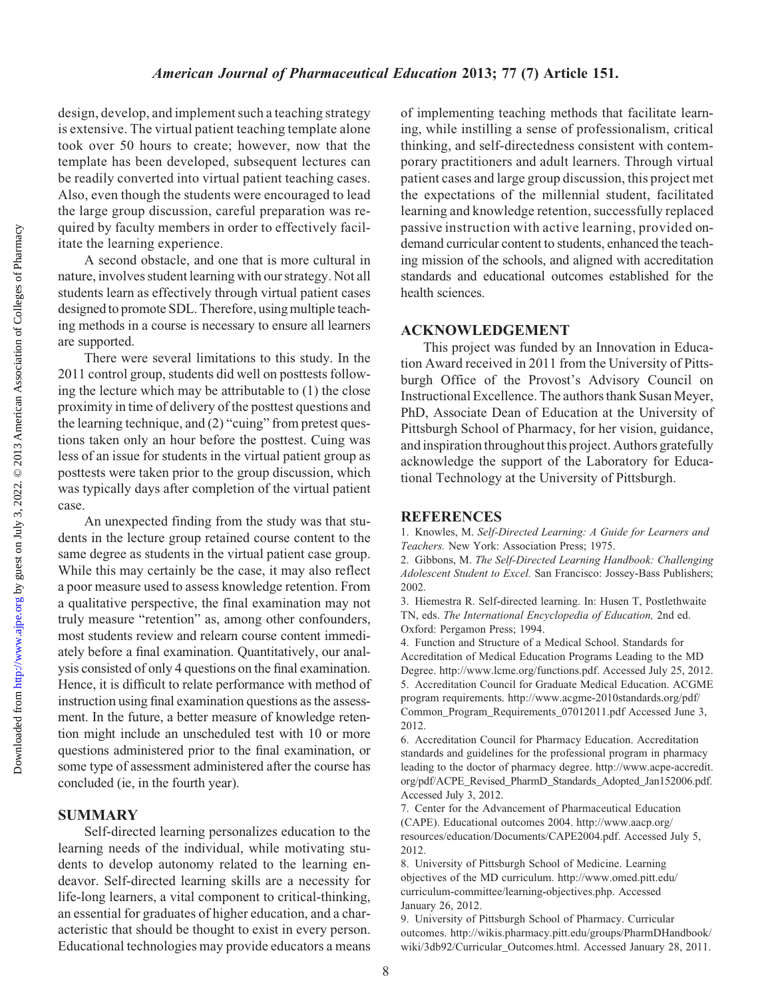design, develop, and implement such a teaching strategy is extensive. The virtual patient teaching template alone took over 50 hours to create; however, now that the template has been developed, subsequent lectures can be readily converted into virtual patient teaching cases. Also, even though the students were encouraged to lead the large group discussion, careful preparation was required by faculty members in order to effectively facilitate the learning experience.

A second obstacle, and one that is more cultural in nature, involves student learning with our strategy. Not all students learn as effectively through virtual patient cases designed to promote SDL. Therefore, using multiple teaching methods in a course is necessary to ensure all learners are supported.

There were several limitations to this study. In the 2011 control group, students did well on posttests following the lecture which may be attributable to (1) the close proximity in time of delivery of the posttest questions and the learning technique, and (2) "cuing" from pretest questions taken only an hour before the posttest. Cuing was less of an issue for students in the virtual patient group as posttests were taken prior to the group discussion, which was typically days after completion of the virtual patient case.

An unexpected finding from the study was that students in the lecture group retained course content to the same degree as students in the virtual patient case group. While this may certainly be the case, it may also reflect a poor measure used to assess knowledge retention. From a qualitative perspective, the final examination may not truly measure "retention" as, among other confounders, most students review and relearn course content immediately before a final examination. Quantitatively, our analysis consisted of only 4 questions on the final examination. Hence, it is difficult to relate performance with method of instruction using final examination questions as the assessment. In the future, a better measure of knowledge retention might include an unscheduled test with 10 or more questions administered prior to the final examination, or some type of assessment administered after the course has concluded (ie, in the fourth year).

## SUMMARY

Self-directed learning personalizes education to the learning needs of the individual, while motivating students to develop autonomy related to the learning endeavor. Self-directed learning skills are a necessity for life-long learners, a vital component to critical-thinking, an essential for graduates of higher education, and a characteristic that should be thought to exist in every person. Educational technologies may provide educators a means

of implementing teaching methods that facilitate learning, while instilling a sense of professionalism, critical thinking, and self-directedness consistent with contemporary practitioners and adult learners. Through virtual patient cases and large group discussion, this project met the expectations of the millennial student, facilitated learning and knowledge retention, successfully replaced passive instruction with active learning, provided ondemand curricular content to students, enhanced the teaching mission of the schools, and aligned with accreditation standards and educational outcomes established for the health sciences.

## ACKNOWLEDGEMENT

This project was funded by an Innovation in Education Award received in 2011 from the University of Pittsburgh Office of the Provost's Advisory Council on Instructional Excellence. The authors thank Susan Meyer, PhD, Associate Dean of Education at the University of Pittsburgh School of Pharmacy, for her vision, guidance, and inspiration throughout this project. Authors gratefully acknowledge the support of the Laboratory for Educational Technology at the University of Pittsburgh.

### REFERENCES

1. Knowles, M. Self-Directed Learning: A Guide for Learners and Teachers. New York: Association Press; 1975.

2. Gibbons, M. The Self-Directed Learning Handbook: Challenging Adolescent Student to Excel. San Francisco: Jossey-Bass Publishers; 2002.

3. Hiemestra R. Self-directed learning. In: Husen T, Postlethwaite TN, eds. The International Encyclopedia of Education, 2nd ed. Oxford: Pergamon Press; 1994.

4. Function and Structure of a Medical School. Standards for Accreditation of Medical Education Programs Leading to the MD Degree. http://www.lcme.org/functions.pdf. Accessed July 25, 2012. 5. Accreditation Council for Graduate Medical Education. ACGME program requirements. http://www.acgme-2010standards.org/pdf/ Common\_Program\_Requirements\_07012011.pdf Accessed June 3, 2012.

6. Accreditation Council for Pharmacy Education. Accreditation standards and guidelines for the professional program in pharmacy leading to the doctor of pharmacy degree. http://www.acpe-accredit. org/pdf/ACPE\_Revised\_PharmD\_Standards\_Adopted\_Jan152006.pdf. Accessed July 3, 2012.

7. Center for the Advancement of Pharmaceutical Education (CAPE). Educational outcomes 2004. http://www.aacp.org/ resources/education/Documents/CAPE2004.pdf. Accessed July 5, 2012.

8. University of Pittsburgh School of Medicine. Learning objectives of the MD curriculum. http://www.omed.pitt.edu/ curriculum-committee/learning-objectives.php. Accessed January 26, 2012.

9. University of Pittsburgh School of Pharmacy. Curricular outcomes. http://wikis.pharmacy.pitt.edu/groups/PharmDHandbook/ wiki/3db92/Curricular\_Outcomes.html. Accessed January 28, 2011.